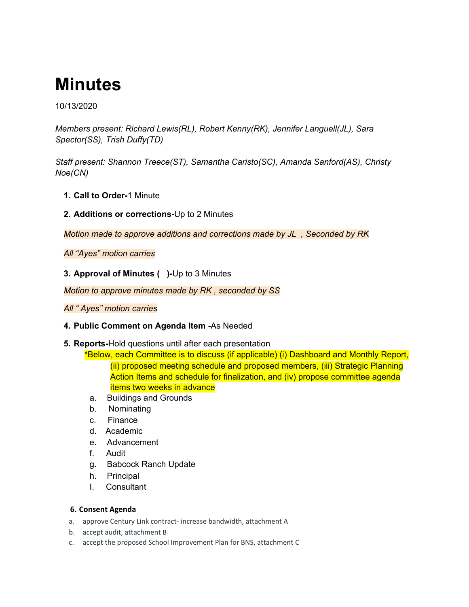# **Minutes**

10/13/2020

*Members present: Richard Lewis(RL), Robert Kenny(RK), Jennifer Languell(JL), Sara Spector(SS), Trish Duffy(TD)*

*Staff present: Shannon Treece(ST), Samantha Caristo(SC), Amanda Sanford(AS), Christy Noe(CN)*

- **1. Call to Order-**1 Minute
- **2. Additions or corrections-**Up to 2 Minutes

*Motion made to approve additions and corrections made by JL , Seconded by RK*

*All "Ayes" motion carries*

**3. Approval of Minutes ( )-**Up to 3 Minutes

*Motion to approve minutes made by RK , seconded by SS*

# *All " Ayes" motion carries*

## **4. Public Comment on Agenda Item -**As Needed

**5. Reports-**Hold questions until after each presentation

\*Below, each Committee is to discuss (if applicable) (i) Dashboard and Monthly Report, (ii) proposed meeting schedule and proposed members, (iii) Strategic Planning Action Items and schedule for finalization, and (iv) propose committee agenda items two weeks in advance

- a. Buildings and Grounds
- b. Nominating
- c. Finance
- d. Academic
- e. Advancement
- f. Audit
- g. Babcock Ranch Update
- h. Principal
- I. Consultant

## **6. Consent Agenda**

- a. approve Century Link contract- increase bandwidth, attachment A
- b. accept audit, attachment B
- c. accept the proposed School Improvement Plan for BNS, attachment C